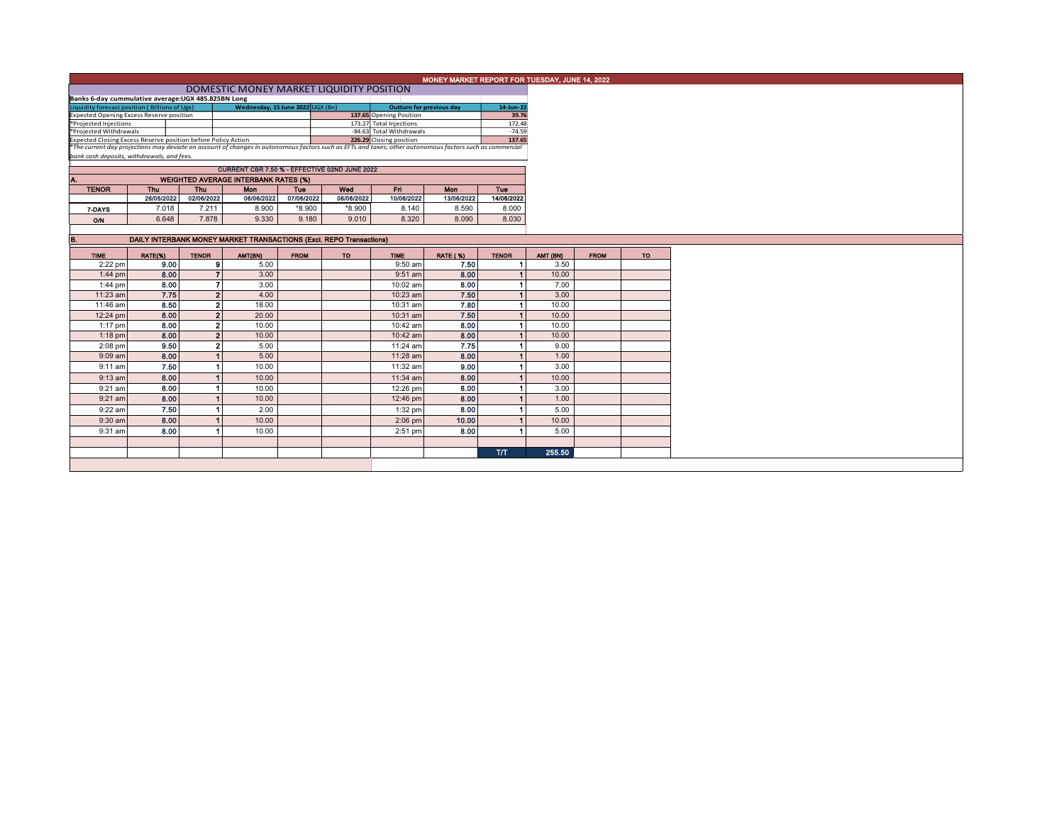| MONEY MARKET REPORT FOR TUESDAY, JUNE 14, 2022                                                                                                           |                                                                     |              |                                             |             |            |                                 |                 |                      |          |             |    |  |
|----------------------------------------------------------------------------------------------------------------------------------------------------------|---------------------------------------------------------------------|--------------|---------------------------------------------|-------------|------------|---------------------------------|-----------------|----------------------|----------|-------------|----|--|
| DOMESTIC MONEY MARKET LIQUIDITY POSITION                                                                                                                 |                                                                     |              |                                             |             |            |                                 |                 |                      |          |             |    |  |
| Banks 6-day cummulative average: UGX 485.825BN Long                                                                                                      |                                                                     |              |                                             |             |            |                                 |                 |                      |          |             |    |  |
| Liquidity forecast position (Billions of Ugx)                                                                                                            |                                                                     |              | Wednesday, 15 June 2022 UGX (Bn)            |             |            | <b>Outturn for previous day</b> |                 | 14-Jun-22            |          |             |    |  |
| <b>Expected Opening Excess Reserve position</b>                                                                                                          |                                                                     |              |                                             |             |            | 137.65 Opening Position         |                 | 39.76                |          |             |    |  |
| *Projected Injections                                                                                                                                    |                                                                     |              |                                             |             |            | 173.27 Total Injections         |                 | 172.48               |          |             |    |  |
| *Projected Withdrawals                                                                                                                                   |                                                                     |              |                                             |             |            | -84.63 Total Withdrawals        |                 | $-74.59$             |          |             |    |  |
| 226.29 Closing position<br>Expected Closing Excess Reserve position before Policy Action                                                                 |                                                                     |              |                                             |             |            |                                 | 137.65          |                      |          |             |    |  |
| *The current day projections may deviate on account of changes in autonomous factors such as EFTs and taxes; other autonomous factors such as commercial |                                                                     |              |                                             |             |            |                                 |                 |                      |          |             |    |  |
| bank cash deposits, withdrawals, and fees.                                                                                                               |                                                                     |              |                                             |             |            |                                 |                 |                      |          |             |    |  |
| CURRENT CBR 7.50 % - EFFECTIVE 02ND JUNE 2022                                                                                                            |                                                                     |              |                                             |             |            |                                 |                 |                      |          |             |    |  |
| A.                                                                                                                                                       |                                                                     |              | <b>WEIGHTED AVERAGE INTERBANK RATES (%)</b> |             |            |                                 |                 |                      |          |             |    |  |
| <b>TENOR</b>                                                                                                                                             | Thu                                                                 | Thu          | <b>Mon</b>                                  | <b>Tue</b>  | Wed        | Eri.                            | <b>Mon</b>      | <b>Tue</b>           |          |             |    |  |
|                                                                                                                                                          | 26/05/2022                                                          | 02/06/2022   | 06/06/2022                                  | 07/06/2022  | 08/06/2022 | 10/06/2022                      | 13/06/2022      | 14/06/2022           |          |             |    |  |
|                                                                                                                                                          |                                                                     |              |                                             |             |            |                                 |                 |                      |          |             |    |  |
| 7-DAYS                                                                                                                                                   | 7.018                                                               | 7.211        | 8.900                                       | *8.900      | *8.900     | 8.140                           | 8.590           | 8.000                |          |             |    |  |
| ON                                                                                                                                                       | 6.648                                                               | 7.878        | 9.330                                       | 9.180       | 9.010      | 8.320                           | 8.090           | 8.030                |          |             |    |  |
|                                                                                                                                                          |                                                                     |              |                                             |             |            |                                 |                 |                      |          |             |    |  |
| B.                                                                                                                                                       | DAILY INTERBANK MONEY MARKET TRANSACTIONS (Excl. REPO Transactions) |              |                                             |             |            |                                 |                 |                      |          |             |    |  |
|                                                                                                                                                          |                                                                     |              |                                             |             |            |                                 |                 |                      |          |             |    |  |
| <b>TIME</b>                                                                                                                                              | RATE(%)                                                             | <b>TENOR</b> | AMT(BN)                                     | <b>FROM</b> | TO         | <b>TIME</b>                     | <b>RATE (%)</b> | <b>TENOR</b>         | AMT (BN) | <b>FROM</b> | TO |  |
| 2:22 pm                                                                                                                                                  | 9.00                                                                |              | $\mathbf{9}$<br>5.00                        |             |            | 9:50 am                         | 7.50            | $\blacktriangleleft$ | 3.50     |             |    |  |
| $1:44$ pm                                                                                                                                                | 8.00                                                                |              | $\overline{7}$<br>3.00                      |             |            | $9:51$ am                       | 8.00            | $\vert$              | 10.00    |             |    |  |
| $1:44$ pm                                                                                                                                                | 8.00                                                                |              | 3.00<br>$\overline{7}$                      |             |            | 10:02 am                        | 8.00            | $\blacksquare$       | 7.00     |             |    |  |
| 11:23 am                                                                                                                                                 | 7.75                                                                |              | 2 <sup>1</sup><br>4.00                      |             |            | 10:23 am                        | 7.50            | 1                    | 3.00     |             |    |  |
| 11:46 am                                                                                                                                                 | 8.50                                                                |              | $\mathbf{2}$<br>18.00                       |             |            | 10:31 am                        | 7.80            | $\blacktriangleleft$ | 10.00    |             |    |  |
|                                                                                                                                                          |                                                                     |              |                                             |             |            |                                 |                 |                      |          |             |    |  |
| 12:24 pm                                                                                                                                                 | 8.00                                                                |              | $\overline{2}$<br>20.00                     |             |            | 10:31 am                        | 7.50            | $\blacktriangleleft$ | 10.00    |             |    |  |
| 1:17 pm                                                                                                                                                  | 8.00                                                                |              | $\mathbf{2}$<br>10.00                       |             |            | 10:42 am                        | 8.00            | $\blacksquare$       | 10.00    |             |    |  |
| $1:18$ pm                                                                                                                                                | 8.00                                                                |              | 2 <sup>1</sup><br>10.00                     |             |            | 10:42 am                        | 8.00            | $\blacksquare$       | 10.00    |             |    |  |
| 2:08 pm                                                                                                                                                  | 9.50                                                                |              | $\mathbf{2}$<br>5.00                        |             |            | 11:24 am                        | 7.75            | $\blacksquare$       | 9.00     |             |    |  |
| 9:09 am                                                                                                                                                  | 8.00                                                                |              | $\blacktriangleleft$<br>5.00                |             |            | 11:28 am                        | 8.00            | $\vert$              | 1.00     |             |    |  |
| $9:11$ am                                                                                                                                                | 7.50                                                                |              | 10.00<br>$\blacktriangleleft$               |             |            | 11:32 am                        | 9.00            | $\blacktriangleleft$ | 3.00     |             |    |  |
|                                                                                                                                                          |                                                                     |              |                                             |             |            |                                 |                 |                      |          |             |    |  |
| $9:13$ am                                                                                                                                                | 8.00                                                                |              | $\blacktriangleleft$<br>10.00               |             |            | 11:34 am                        | 8.00            | 1                    | 10.00    |             |    |  |
| 9:21 am                                                                                                                                                  | 8.00                                                                |              | $\blacktriangleleft$<br>10.00               |             |            | 12:26 pm                        | 8.00            | $\mathbf{1}$         | 3.00     |             |    |  |
| $9:21$ am                                                                                                                                                | 8.00                                                                |              | $\blacktriangleleft$<br>10.00               |             |            | 12:46 pm                        | 8.00            | $\mathbf{1}$         | 1.00     |             |    |  |
| $9:22$ am                                                                                                                                                | 7.50                                                                |              | 2.00<br>$\blacktriangleleft$                |             |            | 1:32 pm                         | 8.00            | $\blacktriangleleft$ | 5.00     |             |    |  |
| $9:30$ am                                                                                                                                                | 8.00                                                                |              | 10.00<br>$\blacktriangleleft$               |             |            | $2:06$ pm                       | 10.00           | $\vert$ 1            | 10.00    |             |    |  |
|                                                                                                                                                          |                                                                     |              |                                             |             |            |                                 |                 |                      |          |             |    |  |
| 9:31 am                                                                                                                                                  | 8.00                                                                |              | 10.00                                       |             |            | 2:51 pm                         | 8.00            | $\blacktriangleleft$ | 5.00     |             |    |  |
|                                                                                                                                                          |                                                                     |              |                                             |             |            |                                 |                 |                      |          |             |    |  |
|                                                                                                                                                          |                                                                     |              |                                             |             |            |                                 |                 | <b>T/T</b>           | 255.50   |             |    |  |
|                                                                                                                                                          |                                                                     |              |                                             |             |            |                                 |                 |                      |          |             |    |  |
|                                                                                                                                                          |                                                                     |              |                                             |             |            |                                 |                 |                      |          |             |    |  |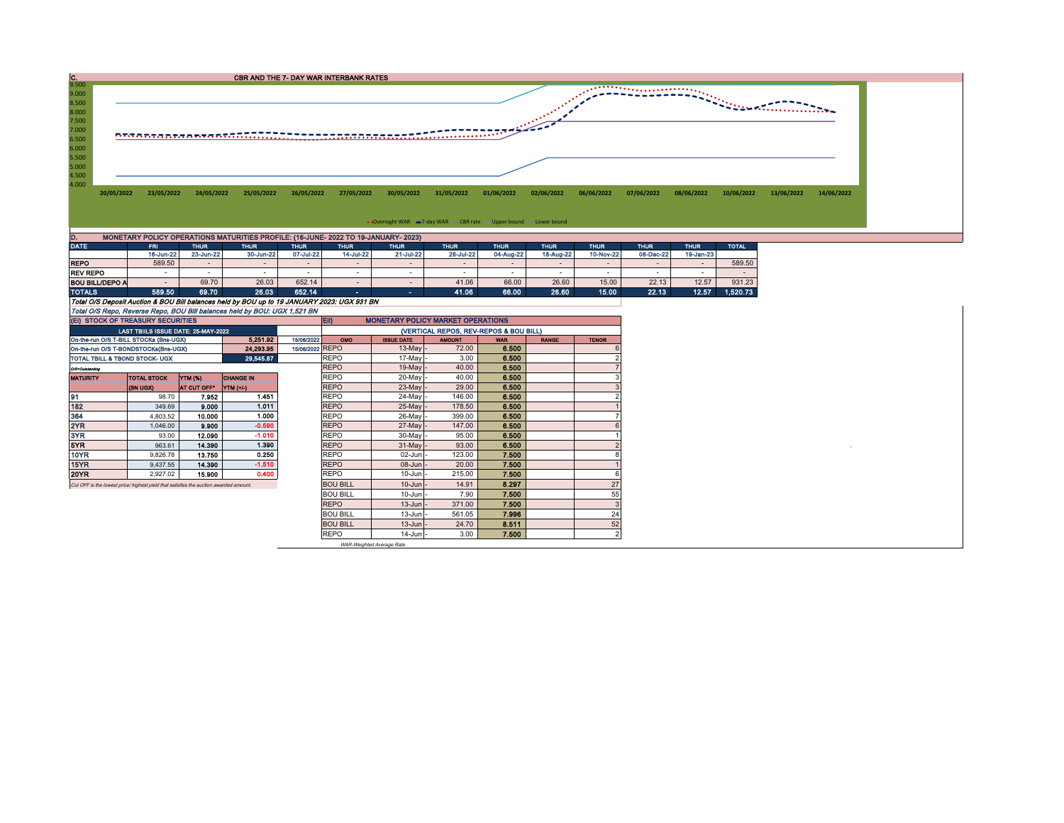

|                 | 16-Jun-22                                                                                   | 23-Jun-22 | 30-Jun-22 | 07-Jul-22 | 14-Jul-22                | 21-Jul-22 | 28-Jul-22 | 04-Aug-22 | 18-Aug-22 | 10-Nov-22 | 08-Dec-22 | 19-Jan-23 |          |  |
|-----------------|---------------------------------------------------------------------------------------------|-----------|-----------|-----------|--------------------------|-----------|-----------|-----------|-----------|-----------|-----------|-----------|----------|--|
| <b>REPO</b>     | 589.50                                                                                      |           |           |           |                          |           |           |           |           |           |           |           | 589.50   |  |
| <b>REV REPO</b> |                                                                                             |           |           |           |                          |           |           |           |           | -         |           |           |          |  |
| BOU BILL/DEPO A | $\sim$                                                                                      | 69.70     | 26.03     | 652.14    | $\overline{\phantom{a}}$ |           | 41.06     | 66.00     | 26.60     | 15.00     | 22.13     | 12.57     | 931.23   |  |
| <b>TOTALS</b>   | 589,50                                                                                      | 69.70     | 26.03     | 652.14    |                          |           | 41.06     | 66.00     | 26.60     | 15.00     | 22.13     | 12.57     | 1.520.73 |  |
|                 | Total O/S Deposit Auction & BOU Bill balances held by BOU up to 19 JANUARY 2023: UGX 931 BN |           |           |           |                          |           |           |           |           |           |           |           |          |  |
|                 | Total O/S Repo, Reverse Repo, BOU Bill balances held by BOU: UGX 1,521 BN                   |           |           |           |                          |           |           |           |           |           |           |           |          |  |

| (EI) STOCK OF TREASURY SECURITIES                                                     |                                     |                  |           |                 | EII)<br><b>MONETARY POLICY MARKET OPERATIONS</b> |                   |               |            |              |              |  |  |  |
|---------------------------------------------------------------------------------------|-------------------------------------|------------------|-----------|-----------------|--------------------------------------------------|-------------------|---------------|------------|--------------|--------------|--|--|--|
|                                                                                       | LAST TBIILS ISSUE DATE: 25-MAY-2022 |                  |           |                 | (VERTICAL REPOS, REV-REPOS & BOU BILL)           |                   |               |            |              |              |  |  |  |
| On-the-run O/S T-BILL STOCKs (Bns-UGX)                                                |                                     |                  | 5.251.92  | 15/06/2022      | <b>OMO</b>                                       | <b>ISSUE DATE</b> | <b>AMOUNT</b> | <b>WAR</b> | <b>RANGE</b> | <b>TENOR</b> |  |  |  |
| On-the-run O/S T-BONDSTOCKs(Bns-UGX)                                                  |                                     |                  | 24,293.95 | 15/06/2022 REPO |                                                  | $13$ -May $-$     | 72.00         | 6.500      |              |              |  |  |  |
| TOTAL TBILL & TBOND STOCK- UGX                                                        |                                     |                  | 29,545.87 |                 | <b>REPO</b>                                      | $17$ -May         | 3.00          | 6.500      |              |              |  |  |  |
| 0/3-Outstanding                                                                       |                                     |                  |           |                 | <b>REPO</b>                                      | $19$ -May -       | 40.00         | 6.500      |              |              |  |  |  |
| <b>TOTAL STOCK</b><br><b>MATURITY</b>                                                 | YTM (%)                             | <b>CHANGE IN</b> |           | <b>REPO</b>     | 20-Mayl-                                         | 40.00             | 6.500         |            |              |              |  |  |  |
|                                                                                       | <b>(BN UGX)</b>                     | AT CUT OFF"      | YTM (+/-) |                 | <b>REPO</b>                                      | $23$ -May -       | 29.00         | 6,500      |              |              |  |  |  |
| 91                                                                                    | 98.70                               | 7.952            | 1.451     |                 | <b>REPO</b>                                      | 24-May -          | 146.00        | 6.500      |              |              |  |  |  |
| 182                                                                                   | 349.69                              | 9.000            | 1.011     |                 | <b>REPO</b>                                      | 25-May -          | 178.50        | 6.500      |              |              |  |  |  |
| 364                                                                                   | 4,803.52                            | 10.000           | 1.000     |                 | <b>REPO</b>                                      | 26-May -          | 399.00        | 6.500      |              |              |  |  |  |
| 2YR                                                                                   | 1.046.00                            | 9.900            | $-0.590$  |                 | <b>REPO</b>                                      | 27-May -          | 147.00        | 6.500      |              |              |  |  |  |
| 3YR                                                                                   | 93.00                               | 12.090           | $-1.010$  |                 | <b>REPO</b>                                      | $30$ -May -       | 95.00         | 6,500      |              |              |  |  |  |
| 5YR.                                                                                  | 963.61                              | 14,390           | 1.390     |                 | <b>REPO</b>                                      | $31$ -May -       | 93.00         | 6.500      |              |              |  |  |  |
| 10YR                                                                                  | 9.826.78                            | 13.750           | 0.250     |                 | <b>REPO</b>                                      | $02$ -Jun $-$     | 123.00        | 7.500      |              |              |  |  |  |
| 15YR                                                                                  | 9,437.55                            | 14.390           | $-1.510$  |                 | <b>REPO</b>                                      | 08-Jun -          | 20.00         | 7.500      |              |              |  |  |  |
| 20YR                                                                                  | 2,927.02                            | 15,900           | 0.400     |                 | <b>REPO</b>                                      | $10$ -Jun $-$     | 215.00        | 7.500      |              |              |  |  |  |
| Cut OFF is the lowest price/ highest yield that satisfies the auction awarded amount. |                                     |                  |           |                 | <b>BOU BILL</b>                                  | $10$ -Jun $-$     | 14.91         | 8.297      |              | 27           |  |  |  |
|                                                                                       |                                     |                  |           |                 | <b>BOU BILL</b>                                  | $10$ -Jun $-$     | 7.90          | 7.500      |              | 55           |  |  |  |
|                                                                                       |                                     |                  |           |                 | <b>REPO</b>                                      | $13$ -Jun $-$     | 371.00        | 7.500      |              |              |  |  |  |
|                                                                                       |                                     |                  |           |                 | <b>BOU BILL</b>                                  | $13$ -Jun $-$     | 561.05        | 7.996      |              | 24           |  |  |  |
|                                                                                       |                                     |                  |           |                 | <b>BOU BILL</b>                                  | $13$ -Jun $-$     | 24.70         | 8.511      |              | 52           |  |  |  |
|                                                                                       |                                     |                  |           |                 | <b>REPO</b>                                      | $14$ -Jun $-$     | 3.00          | 7.500      |              |              |  |  |  |

WAR-Weighted Average Rate